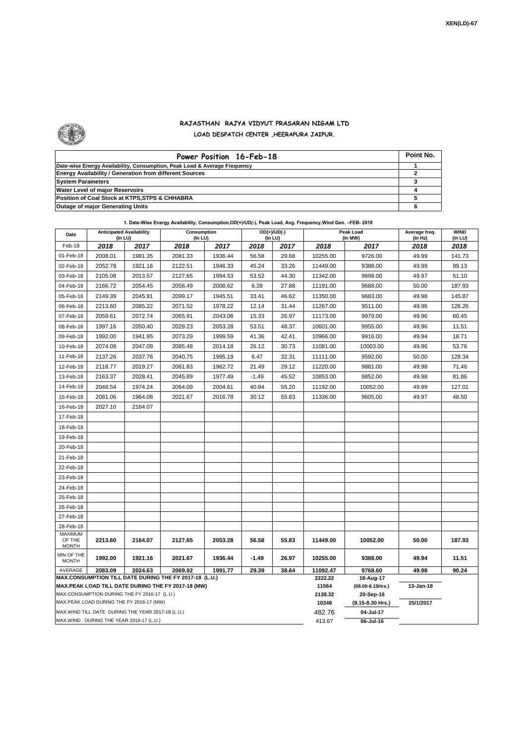

## **RAJASTHAN RAJYA VIDYUT PRASARAN NIGAM LTD LOAD DESPATCH CENTER ,HEERAPURA JAIPUR.**

| Power Position 16-Feb-18                                                  | Point No. |
|---------------------------------------------------------------------------|-----------|
| Date-wise Energy Availability, Consumption, Peak Load & Average Frequency |           |
| <b>Energy Availability / Generation from different Sources</b>            |           |
| <b>System Parameters</b>                                                  |           |
| Water Level of major Reservoirs                                           |           |
| Position of Coal Stock at KTPS, STPS & CHHABRA                            |           |
| <b>Outage of major Generating Units</b>                                   |           |

| Date                                                                                                         | <b>Anticipated Availability</b><br>(In LU) |         | Consumption<br>(In LU) |         | $OD(+)/UD(-)$<br>(In LU) |       |                  | Peak Load<br>(In MW)               | Average freq.<br>(In Hz) | <b>WIND</b><br>(in LU) |
|--------------------------------------------------------------------------------------------------------------|--------------------------------------------|---------|------------------------|---------|--------------------------|-------|------------------|------------------------------------|--------------------------|------------------------|
| Feb-18                                                                                                       | 2018                                       | 2017    | 2018                   | 2017    | 2018                     | 2017  | 2018             | 2017                               | 2018                     | 2018                   |
| 01-Feb-18                                                                                                    | 2008.01                                    | 1981.35 | 2081.33                | 1936.44 | 56.58                    | 29.68 | 10255.00         | 9726.00                            | 49.99                    | 141.73                 |
| 02-Feb-18                                                                                                    | 2052.78                                    | 1921.16 | 2122.51                | 1946.33 | 45.24                    | 33.26 | 11449.00         | 9388.00                            | 49.99                    | 99.13                  |
| 03-Feb-18                                                                                                    | 2105.08                                    | 2013.57 | 2127.65                | 1994.53 | 53.52                    | 44.30 | 11342.00         | 9698.00                            | 49.97                    | 51.10                  |
| 04-Feb-18                                                                                                    | 2166.72                                    | 2054.45 | 2058.49                | 2008.62 | 6.28                     | 27.88 | 11191.00         | 9688.00                            | 50.00                    | 187.93                 |
| 05-Feb-18                                                                                                    | 2149.39                                    | 2045.91 | 2099.17                | 1945.51 | 33.41                    | 46.62 | 11350.00         | 9683.00                            | 49.98                    | 145.87                 |
| 06-Feb-18                                                                                                    | 2213.60                                    | 2085.22 | 2071.52                | 1978.22 | 12.14                    | 31.44 | 11267.00         | 9511.00                            | 49.96                    | 126.26                 |
| 07-Feb-18                                                                                                    | 2059.61                                    | 2072.74 | 2065.91                | 2043.06 | 15.33                    | 26.97 | 11173.00         | 9979.00                            | 49.96                    | 60.45                  |
| 08-Feb-18                                                                                                    | 1997.16                                    | 2050.40 | 2029.23                | 2053.28 | 53.51                    | 48.37 | 10601.00         | 9955.00                            | 49.96                    | 11.51                  |
| 09-Feb-18                                                                                                    | 1992.00                                    | 1941.95 | 2073.29                | 1999.59 | 41.36                    | 42.41 | 10966.00         | 9916.00                            | 49.94                    | 18.71                  |
| 10-Feb-18                                                                                                    | 2074.08                                    | 2047.09 | 2085.48                | 2014.18 | 26.12                    | 30.73 | 11081.00         | 10003.00                           | 49.96                    | 53.76                  |
| 11-Feb-18                                                                                                    | 2137.26                                    | 2037.76 | 2040.75                | 1995.19 | 6.47                     | 32.31 | 11111.00         | 9592.00                            | 50.00                    | 128.34                 |
| 12-Feb-18                                                                                                    | 2118.77                                    | 2019.27 | 2061.83                | 1962.72 | 21.49                    | 29.12 | 11220.00         | 9881.00                            | 49.98                    | 71.46                  |
| 13-Feb-18                                                                                                    | 2163.37                                    | 2028.41 | 2045.89                | 1977.49 | $-1.49$                  | 45.52 | 10853.00         | 9852.00                            | 49.98                    | 81.86                  |
| 14-Feb-18                                                                                                    | 2048.54                                    | 1974.24 | 2064.09                | 2004.61 | 40.84                    | 55.20 | 11192.00         | 10052.00                           | 49.99                    | 127.01                 |
| 15-Feb-18                                                                                                    | 2081.06                                    | 1964.08 | 2021.67                | 2016.78 | 30.12                    | 55.83 | 11336.00         | 9605.00                            | 49.97                    | 48.50                  |
| 16-Feb-18                                                                                                    | 2027.10                                    | 2164.07 |                        |         |                          |       |                  |                                    |                          |                        |
| 17-Feb-18                                                                                                    |                                            |         |                        |         |                          |       |                  |                                    |                          |                        |
| 18-Feb-18                                                                                                    |                                            |         |                        |         |                          |       |                  |                                    |                          |                        |
| 19-Feb-18                                                                                                    |                                            |         |                        |         |                          |       |                  |                                    |                          |                        |
| 20-Feb-18                                                                                                    |                                            |         |                        |         |                          |       |                  |                                    |                          |                        |
| 21-Feb-18                                                                                                    |                                            |         |                        |         |                          |       |                  |                                    |                          |                        |
| 22-Feb-18                                                                                                    |                                            |         |                        |         |                          |       |                  |                                    |                          |                        |
| 23-Feb-18                                                                                                    |                                            |         |                        |         |                          |       |                  |                                    |                          |                        |
| 24-Feb-18                                                                                                    |                                            |         |                        |         |                          |       |                  |                                    |                          |                        |
| 25-Feb-18                                                                                                    |                                            |         |                        |         |                          |       |                  |                                    |                          |                        |
| 26-Feb-18                                                                                                    |                                            |         |                        |         |                          |       |                  |                                    |                          |                        |
| 27-Feb-18                                                                                                    |                                            |         |                        |         |                          |       |                  |                                    |                          |                        |
| 28-Feb-18                                                                                                    |                                            |         |                        |         |                          |       |                  |                                    |                          |                        |
| <b>MAXIMUM</b><br>OF THE                                                                                     | 2213.60                                    | 2164.07 | 2127.65                | 2053.28 | 56.58                    | 55.83 | 11449.00         | 10052.00                           | 50.00                    | 187.93                 |
| <b>MONTH</b>                                                                                                 |                                            |         |                        |         |                          |       |                  |                                    |                          |                        |
| MIN OF THE<br><b>MONTH</b>                                                                                   | 1992.00                                    | 1921.16 | 2021.67                | 1936.44 | $-1.49$                  | 26.97 | 10255.00         | 9388.00                            | 49.94                    | 11.51                  |
| AVERAGE                                                                                                      | 2083.09                                    | 2024.63 | 2069.92                | 1991.77 | 29.39                    | 38.64 | 11092.47         | 9768.60                            | 49.98                    | 90.24                  |
| MAX.CONSUMPTION TILL DATE DURING THE FY 2017-18 (L.U.)<br>MAX.PEAK LOAD TILL DATE DURING THE FY 2017-18 (MW) |                                            |         |                        |         |                          |       | 2222.22          | 18-Aug-17                          |                          |                        |
| MAX.CONSUMPTION DURING THE FY 2016-17 (L.U.)                                                                 |                                            |         |                        |         |                          |       | 11564<br>2138.32 | $(08.00 - 8.15$ Hrs.)<br>20-Sep-16 | 13-Jan-18                |                        |
| MAX.PEAK LOAD DURING THE FY 2016-17 (MW)                                                                     |                                            |         |                        |         |                          |       | 10348            | (8.15-8.30 Hrs.)                   | 25/1/2017                |                        |
| MAX.WIND TILL DATE DURING THE YEAR 2017-18 (L.U.)                                                            |                                            |         |                        |         |                          |       | 482.76           | 04-Jul-17                          |                          |                        |
| MAX.WIND DURING THE YEAR 2016-17 (L.U.)                                                                      |                                            |         |                        |         |                          |       |                  | 06-Jul-16                          |                          |                        |

**1. Date-Wise Energy Availability, Consumption,OD(+)/UD(-), Peak Load, Avg. Frequency,Wind Gen. –FEB- 2018**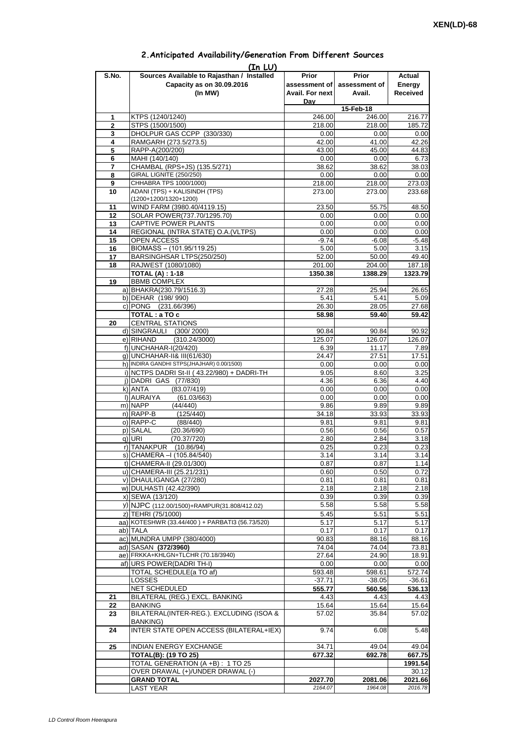|             | (In LU)                                         |                 |                             |          |
|-------------|-------------------------------------------------|-----------------|-----------------------------|----------|
| S.No.       | Sources Available to Rajasthan / Installed      | Prior           | <b>Prior</b>                | Actual   |
|             | Capacity as on 30.09.2016                       |                 | assessment of assessment of | Energy   |
|             | (In MW)                                         | Avail. For next | Avail.                      | Received |
|             |                                                 | Day             |                             |          |
|             |                                                 |                 | 15-Feb-18                   |          |
| 1           | KTPS (1240/1240)                                |                 |                             |          |
|             |                                                 | 246.00          | 246.00                      | 216.77   |
| $\mathbf 2$ | STPS (1500/1500)                                | 218.00          | 218.00                      | 185.72   |
| 3           | DHOLPUR GAS CCPP (330/330)                      | 0.00            | 0.00                        | 0.00     |
| 4           | RAMGARH (273.5/273.5)                           | 42.00           | 41.00                       | 42.26    |
| 5           | RAPP-A(200/200)                                 | 43.00           | 45.00                       | 44.83    |
| 6           | MAHI (140/140)                                  | 0.00            | 0.00                        | 6.73     |
| 7           | CHAMBAL (RPS+JS) (135.5/271)                    | 38.62           | 38.62                       | 38.03    |
| 8           | GIRAL LIGNITE (250/250)                         | 0.00            | 0.00                        | 0.00     |
|             | CHHABRA TPS 1000/1000)                          | 218.00          |                             | 273.03   |
| 9           |                                                 |                 | 218.00                      |          |
| 10          | ADANI (TPS) + KALISINDH (TPS)                   | 273.00          | 273.00                      | 233.68   |
|             | (1200+1200/1320+1200)                           |                 |                             |          |
| 11          | WIND FARM (3980.40/4119.15)                     | 23.50           | 55.75                       | 48.50    |
| 12          | SOLAR POWER(737.70/1295.70)                     | 0.00            | 0.00                        | 0.00     |
| 13          | CAPTIVE POWER PLANTS                            | 0.00            | 0.00                        | 0.00     |
| 14          | REGIONAL (INTRA STATE) O.A. (VLTPS)             | 0.00            | 0.00                        | 0.00     |
| 15          | OPEN ACCESS                                     | $-9.74$         | $-6.08$                     | $-5.48$  |
| 16          | BIOMASS - (101.95/119.25)                       | 5.00            | 5.00                        | 3.15     |
| 17          | BARSINGHSAR LTPS(250/250)                       | 52.00           | 50.00                       |          |
|             |                                                 |                 |                             | 49.40    |
| 18          | RAJWEST (1080/1080)                             | 201.00          | 204.00                      | 187.18   |
|             | <b>TOTAL (A): 1-18</b>                          | 1350.38         | 1388.29                     | 1323.79  |
| 19          | <b>BBMB COMPLEX</b>                             |                 |                             |          |
|             | a) BHAKRA(230.79/1516.3)                        | 27.28           | 25.94                       | 26.65    |
|             | b) DEHAR (198/990)                              | 5.41            | 5.41                        | 5.09     |
|             | c) PONG (231.66/396)                            | 26.30           | 28.05                       | 27.68    |
|             | TOTAL: a TO c                                   | 58.98           | 59.40                       | 59.42    |
| 20          | <b>CENTRAL STATIONS</b>                         |                 |                             |          |
|             |                                                 |                 |                             |          |
|             | d) SINGRAULI (300/2000)                         | 90.84           | 90.84                       | 90.92    |
|             | (310.24/3000)<br>e) RIHAND                      | 125.07          | 126.07                      | 126.07   |
|             | f) UNCHAHAR-I(20/420)                           | 6.39            | 11.17                       | 7.89     |
|             | g) UNCHAHAR-II& III(61/630)                     | 24.47           | 27.51                       | 17.51    |
|             | h) INDIRA GANDHI STPS(JHAJHAR) 0.00/1500)       | 0.00            | 0.00                        | 0.00     |
|             | i) NCTPS DADRI St-II (43.22/980) + DADRI-TH     | 9.05            | 8.60                        | 3.25     |
|             | j) DADRI GAS (77/830)                           | 4.36            | 6.36                        | 4.40     |
|             | k) ANTA                                         | 0.00            | 0.00                        |          |
|             | (83.07/419)                                     |                 |                             | 0.00     |
|             | I) AURAIYA<br>(61.03/663)                       | 0.00            | 0.00                        | 0.00     |
|             | m) NAPP<br>(44/440)                             | 9.86            | 9.89                        | 9.89     |
|             | $n)$ RAPP-B<br>(125/440)                        | 34.18           | 33.93                       | 33.93    |
|             | o) RAPP-C<br>(88/440)                           | 9.81            | 9.81                        | 9.81     |
|             | p) SALAL<br>(20.36/690)                         | 0.56            | 0.56                        | 0.57     |
|             | $q)$ URI<br>(70.37/720)                         | 2.80            | 2.84                        | 3.18     |
|             | r) TANAKPUR<br>(10.86/94)                       | 0.25            | 0.23                        | 0.23     |
|             | s) CHAMERA - (105.84/540)                       | 3.14            | 3.14                        | 3.14     |
|             |                                                 |                 |                             |          |
|             | t) CHAMERA-II (29.01/300)                       | 0.87            | 0.87                        | 1.14     |
|             | u) CHAMERA-III (25.21/231)                      | 0.60            | 0.50                        | 0.72     |
|             | v) DHAULIGANGA (27/280)                         | 0.81            | 0.81                        | 0.81     |
|             | w) DULHASTI (42.42/390)                         | 2.18            | 2.18                        | 2.18     |
|             | x) SEWA (13/120)                                | 0.39            | 0.39                        | 0.39     |
|             | y) NJPC (112.00/1500)+RAMPUR(31.808/412.02)     | 5.58            | 5.58                        | 5.58     |
|             | z) TEHRI (75/1000)                              | 5.45            | 5.51                        | 5.51     |
|             |                                                 |                 |                             |          |
|             | aa) KOTESHWR (33.44/400) + PARBATI3 (56.73/520) | 5.17            | 5.17                        | 5.17     |
|             | ab) TALA                                        | 0.17            | 0.17                        | 0.17     |
|             | ac) MUNDRA UMPP (380/4000)                      | 90.83           | 88.16                       | 88.16    |
|             | ad) SASAN (372/3960)                            | 74.04           | 74.04                       | 73.81    |
|             | ae) FRKKA+KHLGN+TLCHR (70.18/3940)              | 27.64           | 24.90                       | 18.91    |
|             | af) URS POWER (DADRI TH-I)                      | 0.00            | 0.00                        | 0.00     |
|             | TOTAL SCHEDULE(a TO af)                         | 593.48          | 598.61                      | 572.74   |
|             | LOSSES                                          | $-37.71$        | $-38.05$                    | $-36.61$ |
|             |                                                 |                 |                             |          |
|             | NET SCHEDULED                                   | 555.77          | 560.56                      | 536.13   |
| 21          | BILATERAL (REG.) EXCL. BANKING                  | 4.43            | 4.43                        | 4.43     |
| 22          | <b>BANKING</b>                                  | 15.64           | 15.64                       | 15.64    |
| 23          | BILATERAL(INTER-REG.). EXCLUDING (ISOA &        | 57.02           | 35.84                       | 57.02    |
|             | <b>BANKING)</b>                                 |                 |                             |          |
| 24          | <b>INTER STATE OPEN ACCESS (BILATERAL+IEX)</b>  | 9.74            | 6.08                        | 5.48     |
|             |                                                 |                 |                             |          |
|             |                                                 |                 |                             |          |
| 25          | INDIAN ENERGY EXCHANGE                          | 34.71           | 49.04                       | 49.04    |
|             | <b>TOTAL(B): (19 TO 25)</b>                     | 677.32          | 692.78                      | 667.75   |
|             | TOTAL GENERATION (A +B) : 1 TO 25               |                 |                             | 1991.54  |
|             | OVER DRAWAL (+)/UNDER DRAWAL (-)                |                 |                             | 30.12    |
|             | <b>GRAND TOTAL</b>                              | 2027.70         | 2081.06                     | 2021.66  |
|             | <b>LAST YEAR</b>                                | 2164.07         | 1964.08                     | 2016.78  |

## **2.Anticipated Availability/Generation From Different Sources**